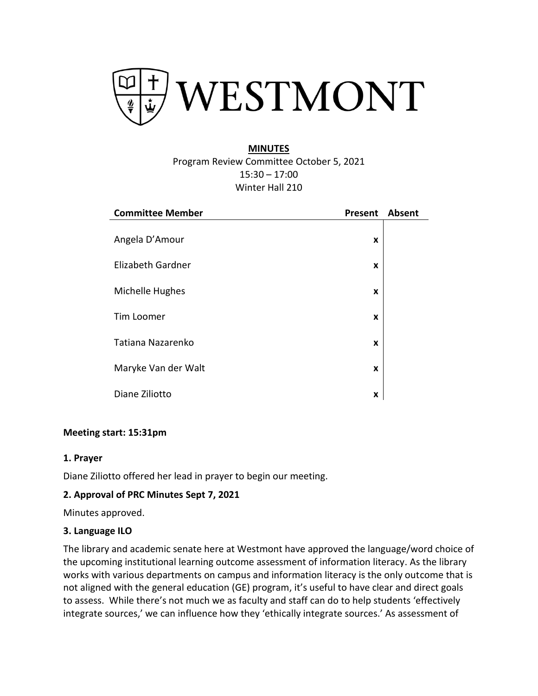

# **MINUTES** Program Review Committee October 5, 2021 15:30 – 17:00 Winter Hall 210

| <b>Committee Member</b> | Present | <b>Absent</b> |
|-------------------------|---------|---------------|
| Angela D'Amour          | X       |               |
| Elizabeth Gardner       | X       |               |
| Michelle Hughes         | X       |               |
| Tim Loomer              | X       |               |
| Tatiana Nazarenko       | X       |               |
| Maryke Van der Walt     | X       |               |
| Diane Ziliotto          | X       |               |

#### **Meeting start: 15:31pm**

#### **1. Prayer**

Diane Ziliotto offered her lead in prayer to begin our meeting.

#### **2. Approval of PRC Minutes Sept 7, 2021**

Minutes approved.

#### **3. Language ILO**

The library and academic senate here at Westmont have approved the language/word choice of the upcoming institutional learning outcome assessment of information literacy. As the library works with various departments on campus and information literacy is the only outcome that is not aligned with the general education (GE) program, it's useful to have clear and direct goals to assess. While there's not much we as faculty and staff can do to help students 'effectively integrate sources,' we can influence how they 'ethically integrate sources.' As assessment of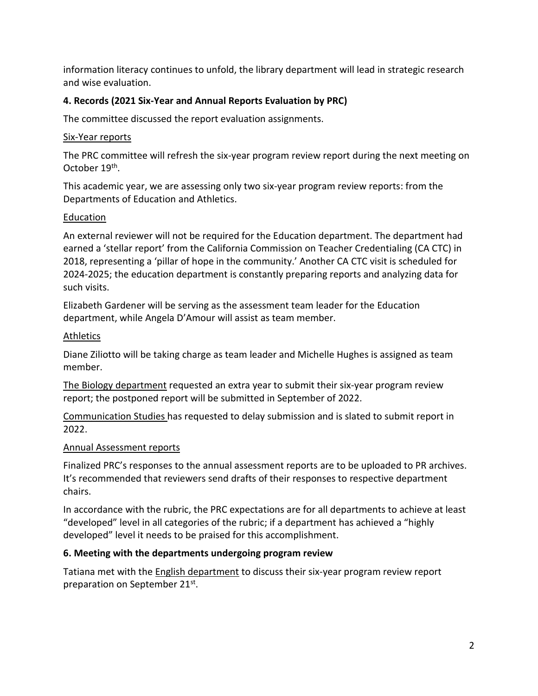information literacy continues to unfold, the library department will lead in strategic research and wise evaluation.

## **4. Records (2021 Six-Year and Annual Reports Evaluation by PRC)**

The committee discussed the report evaluation assignments.

## Six-Year reports

The PRC committee will refresh the six-year program review report during the next meeting on October 19<sup>th</sup>.

This academic year, we are assessing only two six-year program review reports: from the Departments of Education and Athletics.

## **Education**

An external reviewer will not be required for the Education department. The department had earned a 'stellar report' from the California Commission on Teacher Credentialing (CA CTC) in 2018, representing a 'pillar of hope in the community.' Another CA CTC visit is scheduled for 2024-2025; the education department is constantly preparing reports and analyzing data for such visits.

Elizabeth Gardener will be serving as the assessment team leader for the Education department, while Angela D'Amour will assist as team member.

## Athletics

Diane Ziliotto will be taking charge as team leader and Michelle Hughes is assigned as team member.

The Biology department requested an extra year to submit their six-year program review report; the postponed report will be submitted in September of 2022.

Communication Studies has requested to delay submission and is slated to submit report in 2022.

## Annual Assessment reports

Finalized PRC's responses to the annual assessment reports are to be uploaded to PR archives. It's recommended that reviewers send drafts of their responses to respective department chairs.

In accordance with the rubric, the PRC expectations are for all departments to achieve at least "developed" level in all categories of the rubric; if a department has achieved a "highly developed" level it needs to be praised for this accomplishment.

# **6. Meeting with the departments undergoing program review**

Tatiana met with the English department to discuss their six-year program review report preparation on September 21<sup>st</sup>.